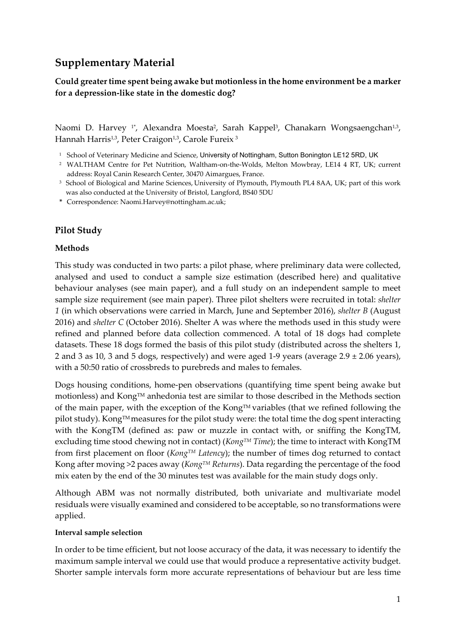# **Supplementary Material**

### **Could greater time spent being awake but motionless in the home environment be a marker for a depression-like state in the domestic dog?**

Naomi D. Harvey<sup>1\*</sup>, Alexandra Moesta<sup>2</sup>, Sarah Kappel<sup>3</sup>, Chanakarn Wongsaengchan<sup>1,3</sup>, Hannah Harris<sup>1,3</sup>, Peter Craigon<sup>1,3</sup>, Carole Fureix<sup>3</sup>

- <sup>1</sup> School of Veterinary Medicine and Science, University of Nottingham, Sutton Bonington LE12 5RD, UK
- <sup>2</sup> WALTHAM Centre for Pet Nutrition, Waltham-on-the-Wolds, Melton Mowbray, LE14 4 RT, UK; current address: Royal Canin Research Center, 30470 Aimargues, France.
- <sup>3</sup> School of Biological and Marine Sciences, University of Plymouth, Plymouth PL4 8AA, UK; part of this work was also conducted at the University of Bristol, Langford, BS40 5DU
- **\*** Correspondence: Naomi.Harvey@nottingham.ac.uk;

### **Pilot Study**

#### **Methods**

This study was conducted in two parts: a pilot phase, where preliminary data were collected, analysed and used to conduct a sample size estimation (described here) and qualitative behaviour analyses (see main paper), and a full study on an independent sample to meet sample size requirement (see main paper). Three pilot shelters were recruited in total: *shelter 1* (in which observations were carried in March, June and September 2016), *shelter B* (August 2016) and *shelter C* (October 2016). Shelter A was where the methods used in this study were refined and planned before data collection commenced. A total of 18 dogs had complete datasets. These 18 dogs formed the basis of this pilot study (distributed across the shelters 1, 2 and 3 as 10, 3 and 5 dogs, respectively) and were aged 1-9 years (average  $2.9 \pm 2.06$  years), with a 50:50 ratio of crossbreds to purebreds and males to females.

Dogs housing conditions, home-pen observations (quantifying time spent being awake but motionless) and Kong™ anhedonia test are similar to those described in the Methods section of the main paper, with the exception of the Kong™ variables (that we refined following the pilot study). Kong™ measures for the pilot study were: the total time the dog spent interacting with the KongTM (defined as: paw or muzzle in contact with, or sniffing the KongTM, excluding time stood chewing not in contact) (*KongTM Time*); the time to interact with KongTM from first placement on floor (*KongTM Latency*); the number of times dog returned to contact Kong after moving >2 paces away (*KongTM Returns*). Data regarding the percentage of the food mix eaten by the end of the 30 minutes test was available for the main study dogs only.

Although ABM was not normally distributed, both univariate and multivariate model residuals were visually examined and considered to be acceptable, so no transformations were applied.

#### **Interval sample selection**

In order to be time efficient, but not loose accuracy of the data, it was necessary to identify the maximum sample interval we could use that would produce a representative activity budget. Shorter sample intervals form more accurate representations of behaviour but are less time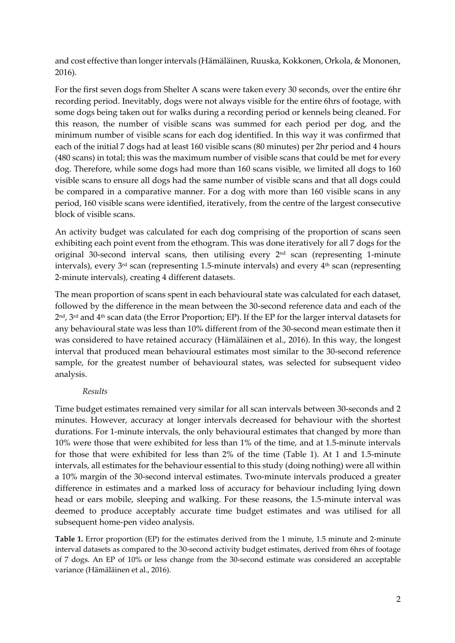and cost effective than longer intervals (Hämäläinen, Ruuska, Kokkonen, Orkola, & Mononen, 2016).

For the first seven dogs from Shelter A scans were taken every 30 seconds, over the entire 6hr recording period. Inevitably, dogs were not always visible for the entire 6hrs of footage, with some dogs being taken out for walks during a recording period or kennels being cleaned. For this reason, the number of visible scans was summed for each period per dog, and the minimum number of visible scans for each dog identified. In this way it was confirmed that each of the initial 7 dogs had at least 160 visible scans (80 minutes) per 2hr period and 4 hours (480 scans) in total; this was the maximum number of visible scans that could be met for every dog. Therefore, while some dogs had more than 160 scans visible, we limited all dogs to 160 visible scans to ensure all dogs had the same number of visible scans and that all dogs could be compared in a comparative manner. For a dog with more than 160 visible scans in any period, 160 visible scans were identified, iteratively, from the centre of the largest consecutive block of visible scans.

An activity budget was calculated for each dog comprising of the proportion of scans seen exhibiting each point event from the ethogram. This was done iteratively for all 7 dogs for the original 30-second interval scans, then utilising every  $2<sup>nd</sup>$  scan (representing 1-minute intervals), every  $3<sup>rd</sup>$  scan (representing 1.5-minute intervals) and every  $4<sup>th</sup>$  scan (representing 2-minute intervals), creating 4 different datasets.

The mean proportion of scans spent in each behavioural state was calculated for each dataset, followed by the difference in the mean between the 30-second reference data and each of the 2nd, 3rd and 4th scan data (the Error Proportion; EP). If the EP for the larger interval datasets for any behavioural state was less than 10% different from of the 30-second mean estimate then it was considered to have retained accuracy (Hämäläinen et al., 2016). In this way, the longest interval that produced mean behavioural estimates most similar to the 30-second reference sample, for the greatest number of behavioural states, was selected for subsequent video analysis.

#### *Results*

Time budget estimates remained very similar for all scan intervals between 30-seconds and 2 minutes. However, accuracy at longer intervals decreased for behaviour with the shortest durations. For 1-minute intervals, the only behavioural estimates that changed by more than 10% were those that were exhibited for less than 1% of the time, and at 1.5-minute intervals for those that were exhibited for less than 2% of the time (Table 1). At 1 and 1.5-minute intervals, all estimates for the behaviour essential to this study (doing nothing) were all within a 10% margin of the 30-second interval estimates. Two-minute intervals produced a greater difference in estimates and a marked loss of accuracy for behaviour including lying down head or ears mobile, sleeping and walking. For these reasons, the 1.5-minute interval was deemed to produce acceptably accurate time budget estimates and was utilised for all subsequent home-pen video analysis.

**Table 1.** Error proportion (EP) for the estimates derived from the 1 minute, 1.5 minute and 2-minute interval datasets as compared to the 30-second activity budget estimates, derived from 6hrs of footage of 7 dogs. An EP of 10% or less change from the 30-second estimate was considered an acceptable variance (Hämäläinen et al., 2016).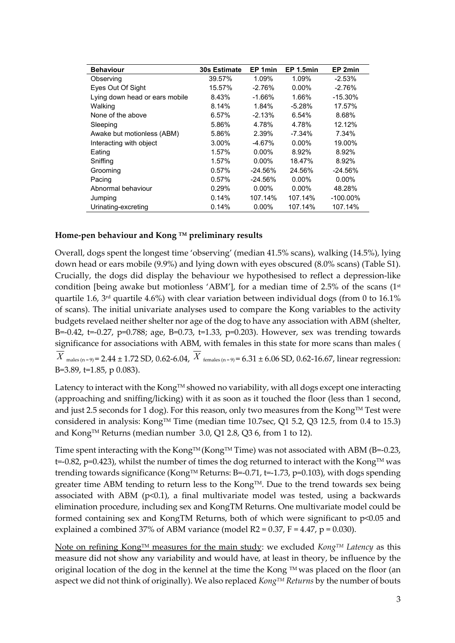| <b>Behaviour</b>               | <b>30s Estimate</b> | EP 1min   | EP 1.5min | EP 2min     |
|--------------------------------|---------------------|-----------|-----------|-------------|
| Observing                      | 39.57%              | 1.09%     | 1.09%     | $-2.53%$    |
| Eyes Out Of Sight              | 15.57%              | $-2.76%$  | $0.00\%$  | $-2.76%$    |
| Lying down head or ears mobile | 8.43%               | -1.66%    | 1.66%     | $-15.30\%$  |
| Walking                        | 8.14%               | 1.84%     | $-5.28%$  | 17.57%      |
| None of the above              | 6.57%               | $-2.13%$  | 6.54%     | 8.68%       |
| Sleeping                       | 5.86%               | 4.78%     | 4.78%     | 12.12%      |
| Awake but motionless (ABM)     | 5.86%               | 2.39%     | -7.34%    | 7.34%       |
| Interacting with object        | 3.00%               | $-4.67%$  | $0.00\%$  | 19.00%      |
| Eating                         | 1.57%               | $0.00\%$  | 8.92%     | 8.92%       |
| Sniffing                       | 1.57%               | $0.00\%$  | 18.47%    | 8.92%       |
| Grooming                       | 0.57%               | $-24.56%$ | 24.56%    | $-24.56%$   |
| Pacing                         | 0.57%               | $-24.56%$ | $0.00\%$  | $0.00\%$    |
| Abnormal behaviour             | 0.29%               | $0.00\%$  | $0.00\%$  | 48.28%      |
| Jumping                        | 0.14%               | 107.14%   | 107.14%   | $-100.00\%$ |
| Urinating-excreting            | 0.14%               | $0.00\%$  | 107.14%   | 107.14%     |

#### **Home-pen behaviour and Kong TM preliminary results**

Overall, dogs spent the longest time 'observing' (median 41.5% scans), walking (14.5%), lying down head or ears mobile (9.9%) and lying down with eyes obscured (8.0% scans) (Table S1). Crucially, the dogs did display the behaviour we hypothesised to reflect a depression-like condition [being awake but motionless 'ABM'], for a median time of 2.5% of the scans (1st quartile 1.6, 3rd quartile 4.6%) with clear variation between individual dogs (from 0 to 16.1% of scans). The initial univariate analyses used to compare the Kong variables to the activity budgets revelaed neither shelter nor age of the dog to have any association with ABM (shelter, B=-0.42, t=-0.27, p=0.788; age, B=0.73, t=1.33, p=0.203). However, sex was trending towards significance for associations with ABM, with females in this state for more scans than males (  $X$  <sub>males (n = 9)</sub> = 2.44  $\pm$  1.72 SD, 0.62-6.04,  $X$  <sub>females (n = 9)</sub> = 6.31  $\pm$  6.06 SD, 0.62-16.67, linear regression: B=3.89, t=1.85, p 0.083).

Latency to interact with the Kong<sup>TM</sup> showed no variability, with all dogs except one interacting (approaching and sniffing/licking) with it as soon as it touched the floor (less than 1 second, and just 2.5 seconds for 1 dog). For this reason, only two measures from the Kong<sup>TM</sup> Test were considered in analysis: Kong<sup>TM</sup> Time (median time 10.7sec, Q1 5.2, Q3 12.5, from 0.4 to 15.3) and Kong™ Returns (median number 3.0, Q1 2.8, Q3 6, from 1 to 12).

Time spent interacting with the Kong<sup>TM</sup> (Kong<sup>TM</sup> Time) was not associated with ABM (B=-0.23,  $t=0.82$ , p=0.423), whilst the number of times the dog returned to interact with the Kong<sup>TM</sup> was trending towards significance (Kong<sup>TM</sup> Returns: B=-0.71, t=-1.73, p=0.103), with dogs spending greater time ABM tending to return less to the KongTM. Due to the trend towards sex being associated with ABM ( $p<0.1$ ), a final multivariate model was tested, using a backwards elimination procedure, including sex and KongTM Returns. One multivariate model could be formed containing sex and KongTM Returns, both of which were significant to p<0.05 and explained a combined 37% of ABM variance (model  $R2 = 0.37$ ,  $F = 4.47$ ,  $p = 0.030$ ).

Note on refining Kong™ measures for the main study: we excluded *Kong*™ Latency as this measure did not show any variability and would have, at least in theory, be influence by the original location of the dog in the kennel at the time the Kong  $TM$  was placed on the floor (an aspect we did not think of originally). We also replaced *KongTM Returns* by the number of bouts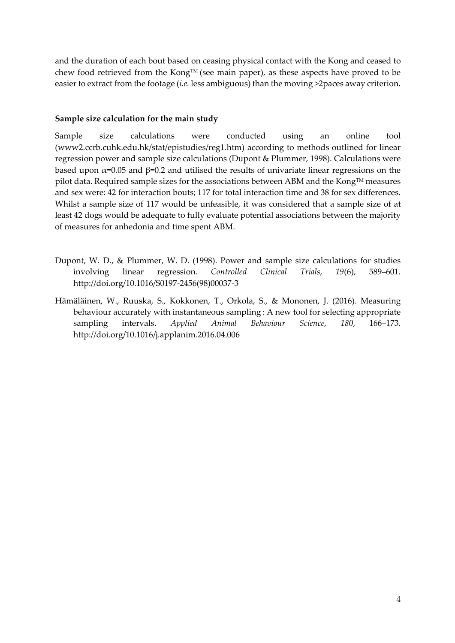and the duration of each bout based on ceasing physical contact with the Kong and ceased to chew food retrieved from the Kong™ (see main paper), as these aspects have proved to be easier to extract from the footage (*i.e.* less ambiguous) than the moving >2paces away criterion.

#### **Sample size calculation for the main study**

Sample size calculations were conducted using an online tool (www2.ccrb.cuhk.edu.hk/stat/epistudies/reg1.htm) according to methods outlined for linear regression power and sample size calculations (Dupont & Plummer, 1998). Calculations were based upon  $\alpha$ =0.05 and  $\beta$ =0.2 and utilised the results of univariate linear regressions on the pilot data. Required sample sizes for the associations between ABM and the Kong $TM$  measures and sex were: 42 for interaction bouts; 117 for total interaction time and 38 for sex differences. Whilst a sample size of 117 would be unfeasible, it was considered that a sample size of at least 42 dogs would be adequate to fully evaluate potential associations between the majority of measures for anhedonia and time spent ABM.

- Dupont, W. D., & Plummer, W. D. (1998). Power and sample size calculations for studies involving linear regression. *Controlled Clinical Trials*, *19*(6), 589–601. http://doi.org/10.1016/S0197-2456(98)00037-3
- Hämäläinen, W., Ruuska, S., Kokkonen, T., Orkola, S., & Mononen, J. (2016). Measuring behaviour accurately with instantaneous sampling : A new tool for selecting appropriate sampling intervals. *Applied Animal Behaviour Science*, *180*, 166–173. http://doi.org/10.1016/j.applanim.2016.04.006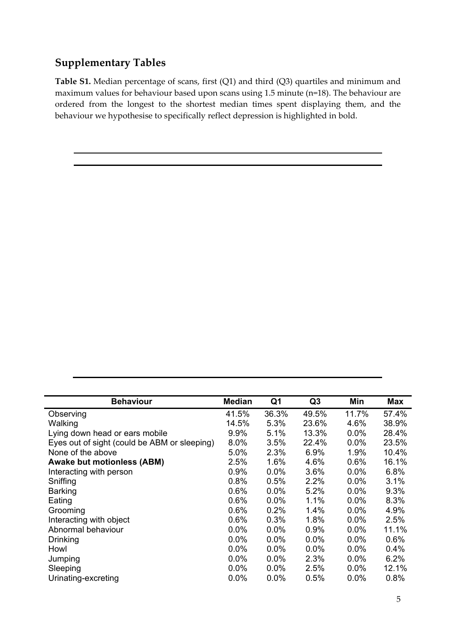## **Supplementary Tables**

**Table S1.** Median percentage of scans, first (Q1) and third (Q3) quartiles and minimum and maximum values for behaviour based upon scans using 1.5 minute (n=18). The behaviour are ordered from the longest to the shortest median times spent displaying them, and the behaviour we hypothesise to specifically reflect depression is highlighted in bold.

| <b>Behaviour</b>                             | <b>Median</b> | Q1      | Q <sub>3</sub> | Min     | Max   |
|----------------------------------------------|---------------|---------|----------------|---------|-------|
| Observing                                    | 41.5%         | 36.3%   | 49.5%          | 11.7%   | 57.4% |
| Walking                                      | 14.5%         | 5.3%    | 23.6%          | 4.6%    | 38.9% |
| Lying down head or ears mobile               | 9.9%          | 5.1%    | 13.3%          | 0.0%    | 28.4% |
| Eyes out of sight (could be ABM or sleeping) | 8.0%          | 3.5%    | 22.4%          | $0.0\%$ | 23.5% |
| None of the above                            | 5.0%          | 2.3%    | 6.9%           | 1.9%    | 10.4% |
| <b>Awake but motionless (ABM)</b>            | 2.5%          | $1.6\%$ | 4.6%           | 0.6%    | 16.1% |
| Interacting with person                      | 0.9%          | $0.0\%$ | 3.6%           | 0.0%    | 6.8%  |
| Sniffing                                     | 0.8%          | 0.5%    | 2.2%           | 0.0%    | 3.1%  |
| Barking                                      | 0.6%          | $0.0\%$ | 5.2%           | 0.0%    | 9.3%  |
| Eating                                       | 0.6%          | $0.0\%$ | $1.1\%$        | 0.0%    | 8.3%  |
| Grooming                                     | 0.6%          | 0.2%    | $1.4\%$        | $0.0\%$ | 4.9%  |
| Interacting with object                      | 0.6%          | 0.3%    | 1.8%           | 0.0%    | 2.5%  |
| Abnormal behaviour                           | 0.0%          | $0.0\%$ | 0.9%           | 0.0%    | 11.1% |
| Drinking                                     | $0.0\%$       | $0.0\%$ | 0.0%           | 0.0%    | 0.6%  |
| Howl                                         | 0.0%          | $0.0\%$ | 0.0%           | 0.0%    | 0.4%  |
| Jumping                                      | 0.0%          | 0.0%    | 2.3%           | 0.0%    | 6.2%  |
| Sleeping                                     | 0.0%          | $0.0\%$ | 2.5%           | 0.0%    | 12.1% |
| Urinating-excreting                          | $0.0\%$       | 0.0%    | 0.5%           | 0.0%    | 0.8%  |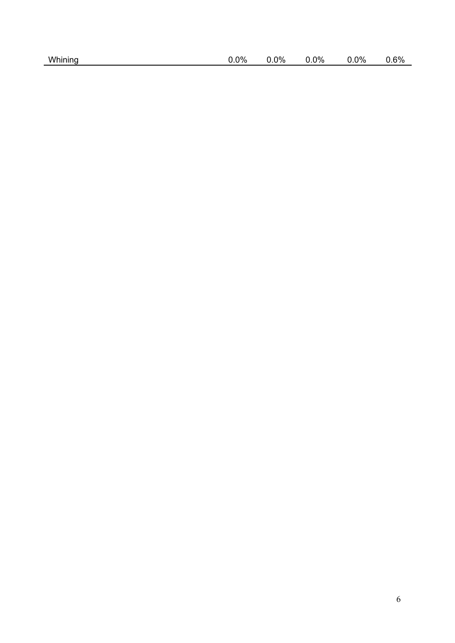|  |  | Whining |
|--|--|---------|
|  |  |         |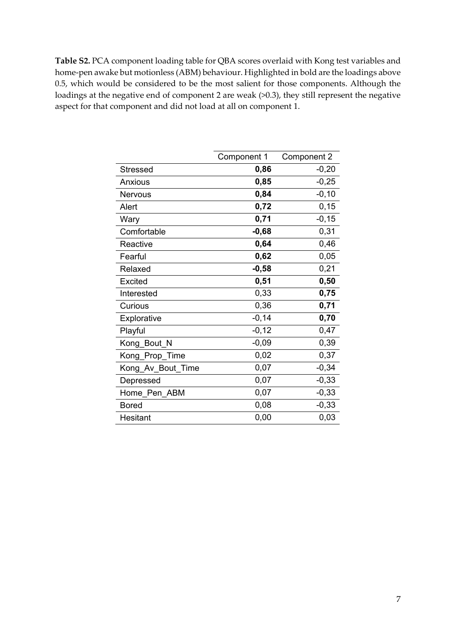**Table S2.** PCA component loading table for QBA scores overlaid with Kong test variables and home-pen awake but motionless (ABM) behaviour. Highlighted in bold are the loadings above 0.5, which would be considered to be the most salient for those components. Although the loadings at the negative end of component 2 are weak (>0.3), they still represent the negative aspect for that component and did not load at all on component 1.

|                   | Component 1 | Component 2 |
|-------------------|-------------|-------------|
| Stressed          | 0,86        | $-0,20$     |
| Anxious           | 0,85        | $-0,25$     |
| <b>Nervous</b>    | 0,84        | $-0, 10$    |
| Alert             | 0,72        | 0, 15       |
| Wary              | 0,71        | $-0, 15$    |
| Comfortable       | $-0,68$     | 0,31        |
| Reactive          | 0,64        | 0,46        |
| Fearful           | 0,62        | 0,05        |
| Relaxed           | $-0,58$     | 0,21        |
| Excited           | 0,51        | 0,50        |
| Interested        | 0,33        | 0,75        |
| Curious           | 0,36        | 0,71        |
| Explorative       | $-0,14$     | 0,70        |
| Playful           | $-0,12$     | 0,47        |
| Kong_Bout N       | $-0,09$     | 0,39        |
| Kong_Prop_Time    | 0,02        | 0,37        |
| Kong_Av_Bout_Time | 0,07        | $-0,34$     |
| Depressed         | 0,07        | $-0,33$     |
| Home Pen ABM      | 0,07        | $-0,33$     |
| Bored             | 0,08        | $-0,33$     |
| <b>Hesitant</b>   | 0,00        | 0,03        |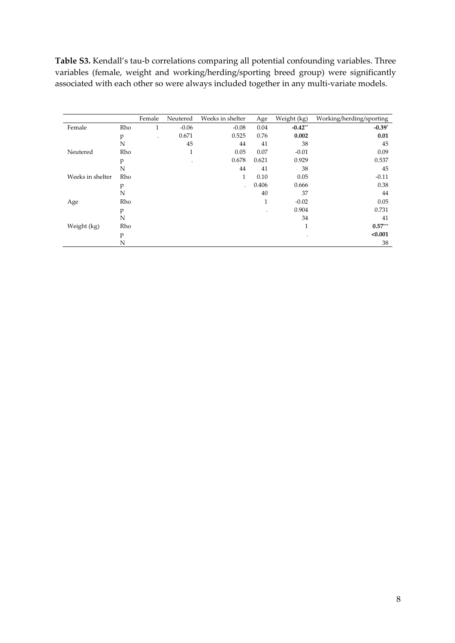**Table S3.** Kendall's tau-b correlations comparing all potential confounding variables. Three variables (female, weight and working/herding/sporting breed group) were significantly associated with each other so were always included together in any multi-variate models.

|                  |     | Female | Neutered | Weeks in shelter | Age            | Weight (kg) | Working/herding/sporting |
|------------------|-----|--------|----------|------------------|----------------|-------------|--------------------------|
| Female           | Rho | 1      | $-0.06$  | $-0.08$          | 0.04           | $-0.42**$   | $-0.39*$                 |
|                  | p   |        | 0.671    | 0.525            | 0.76           | 0.002       | 0.01                     |
|                  | N   |        | 45       | 44               | 41             | 38          | 45                       |
| Neutered         | Rho |        | 1        | 0.05             | 0.07           | $-0.01$     | 0.09                     |
|                  | p   |        | $\cdot$  | 0.678            | 0.621          | 0.929       | 0.537                    |
|                  | N   |        |          | 44               | 41             | 38          | 45                       |
| Weeks in shelter | Rho |        |          | 1                | 0.10           | 0.05        | $-0.11$                  |
|                  | p   |        |          |                  | 0.406          | 0.666       | 0.38                     |
|                  | N   |        |          |                  | 40             | 37          | 44                       |
| Age              | Rho |        |          |                  | 1              | $-0.02$     | 0.05                     |
|                  | p   |        |          |                  | $\blacksquare$ | 0.904       | 0.731                    |
|                  | N   |        |          |                  |                | 34          | 41                       |
| Weight (kg)      | Rho |        |          |                  |                | 1           | $0.57***$                |
|                  | p   |        |          |                  |                | $\bullet$   | < 0.001                  |
|                  | N   |        |          |                  |                |             | 38                       |